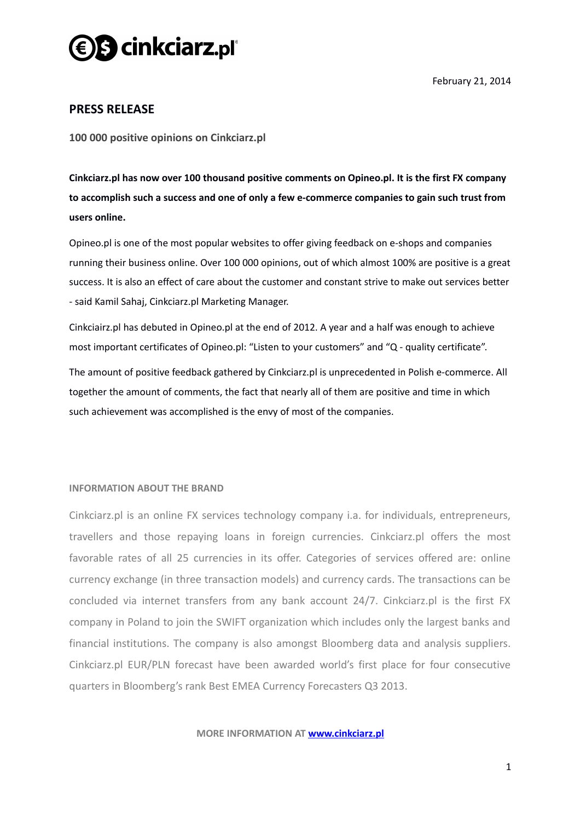

February 21, 2014

## **PRESS RELEASE**

**100 000 positive opinions on Cinkciarz.pl** 

**Cinkciarz.pl has now over 100 thousand positive comments on Opineo.pl. It is the first FX company to accomplish such a success and one of only a few e-commerce companies to gain such trust from users online.**

Opineo.pl is one of the most popular websites to offer giving feedback on e-shops and companies running their business online. Over 100 000 opinions, out of which almost 100% are positive is a great success. It is also an effect of care about the customer and constant strive to make out services better - said Kamil Sahaj, Cinkciarz.pl Marketing Manager.

Cinkciairz.pl has debuted in Opineo.pl at the end of 2012. A year and a half was enough to achieve most important certificates of Opineo.pl: "Listen to your customers" and "Q - quality certificate".

The amount of positive feedback gathered by Cinkciarz.pl is unprecedented in Polish e-commerce. All together the amount of comments, the fact that nearly all of them are positive and time in which such achievement was accomplished is the envy of most of the companies.

## **INFORMATION ABOUT THE BRAND**

Cinkciarz.pl is an online FX services technology company i.a. for individuals, entrepreneurs, travellers and those repaying loans in foreign currencies. Cinkciarz.pl offers the most favorable rates of all 25 currencies in its offer. Categories of services offered are: online currency exchange (in three transaction models) and currency cards. The transactions can be concluded via internet transfers from any bank account 24/7. Cinkciarz.pl is the first FX company in Poland to join the SWIFT organization which includes only the largest banks and financial institutions. The company is also amongst Bloomberg data and analysis suppliers. Cinkciarz.pl EUR/PLN forecast have been awarded world's first place for four consecutive quarters in Bloomberg's rank Best EMEA Currency Forecasters Q3 2013.

**MORE INFORMATION AT [www.cinkciarz.pl](http://www.cinkciarz.pl/)**